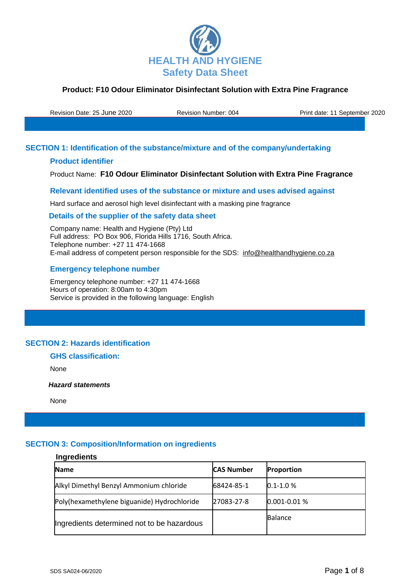

Revision Date: 25 June 2020 Revision Number: 004 Print date: 11 September 2020

# **SECTION 1: Identification of the substance/mixture and of the company/undertaking**

## **Product identifier**

Product Name: **F10 Odour Eliminator Disinfectant Solution with Extra Pine Fragrance**

## **Relevant identified uses of the substance or mixture and uses advised against**

Hard surface and aerosol high level disinfectant with a masking pine fragrance

#### **Details of the supplier of the safety data sheet**

Company name: Health and Hygiene (Pty) Ltd Full address: PO Box 906, Florida Hills 1716, South Africa. Telephone number: +27 11 474-1668 E-mail address of competent person responsible for the SDS: info@healthandhygiene.co.za

## **Emergency telephone number**

Emergency telephone number: +27 11 474-1668 Hours of operation: 8:00am to 4:30pm Service is provided in the following language: English

# **SECTION 2: Hazards identification**

# **GHS classification:**

None

 *Hazard statements* 

None

## **SECTION 3: Composition/Information on ingredients**

# **Ingredients Name CAS Number Proportion** Alkyl Dimethyl Benzyl Ammonium chloride 68424-85-1 0.1-1.0 % Poly(hexamethylene biguanide) Hydrochloride 27083-27-8 0.001-0.01 % Ingredients determined not to be hazardous Balance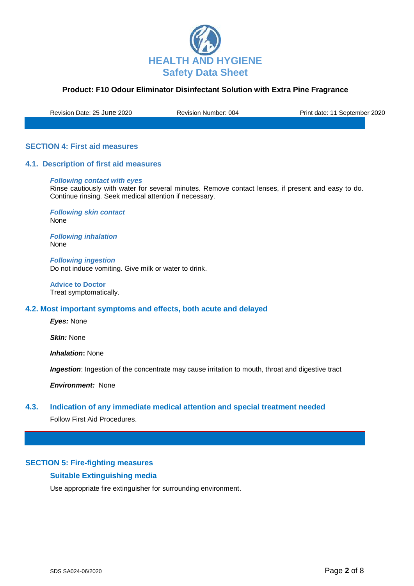

Revision Date: 25 June 2020 Revision Number: 004 Print date: 11 September 2020

## **SECTION 4: First aid measures**

#### **4.1. Description of first aid measures**

#### *Following contact with eyes*

Rinse cautiously with water for several minutes. Remove contact lenses, if present and easy to do. Continue rinsing. Seek medical attention if necessary.

*Following skin contact* None

*Following inhalation* None

*Following ingestion* Do not induce vomiting. Give milk or water to drink.

**Advice to Doctor** Treat symptomatically.

#### **4.2. Most important symptoms and effects, both acute and delayed**

*Eyes:* None

*Skin:* None

*Inhalation***:** None

**Ingestion**: Ingestion of the concentrate may cause irritation to mouth, throat and digestive tract

*Environment:* None

## **4.3. Indication of any immediate medical attention and special treatment needed**

Follow First Aid Procedures.

#### **SECTION 5: Fire-fighting measures**

## **Suitable Extinguishing media**

Use appropriate fire extinguisher for surrounding environment.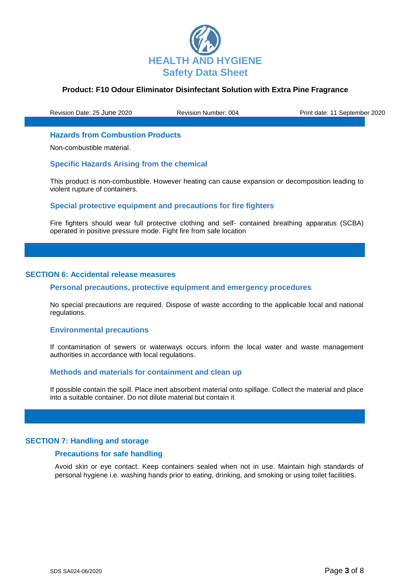

Revision Date: 25 June 2020 Revision Number: 004 Print date: 11 September 2020

#### **Hazards from Combustion Products**

Non-combustible material.

#### **Specific Hazards Arising from the chemical**

This product is non-combustible. However heating can cause expansion or decomposition leading to violent rupture of containers.

#### **Special protective equipment and precautions for fire fighters**

Fire fighters should wear full protective clothing and self- contained breathing apparatus (SCBA) operated in positive pressure mode. Fight fire from safe location

#### **SECTION 6: Accidental release measures**

#### **Personal precautions, protective equipment and emergency procedures**

No special precautions are required. Dispose of waste according to the applicable local and national regulations.

#### **Environmental precautions**

If contamination of sewers or waterways occurs inform the local water and waste management authorities in accordance with local regulations.

#### **Methods and materials for containment and clean up**

If possible contain the spill. Place inert absorbent material onto spillage. Collect the material and place into a suitable container. Do not dilute material but contain it

#### **SECTION 7: Handling and storage**

#### **Precautions for safe handling**

Avoid skin or eye contact. Keep containers sealed when not in use. Maintain high standards of personal hygiene i.e. washing hands prior to eating, drinking, and smoking or using toilet facilities.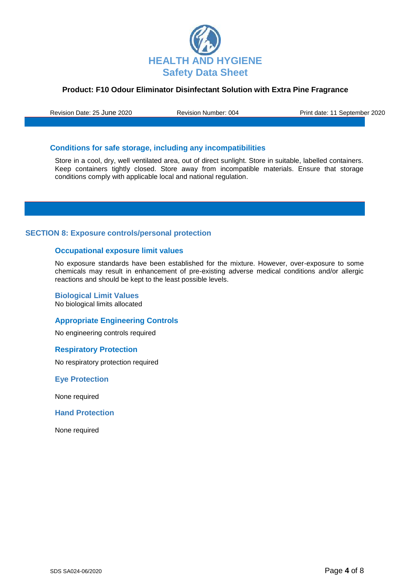

Revision Date: 25 June 2020 Revision Number: 004 Print date: 11 September 2020

# **Conditions for safe storage, including any incompatibilities**

Store in a cool, dry, well ventilated area, out of direct sunlight. Store in suitable, labelled containers. Keep containers tightly closed. Store away from incompatible materials. Ensure that storage conditions comply with applicable local and national regulation.

## **SECTION 8: Exposure controls/personal protection**

#### **Occupational exposure limit values**

No exposure standards have been established for the mixture. However, over-exposure to some chemicals may result in enhancement of pre-existing adverse medical conditions and/or allergic reactions and should be kept to the least possible levels.

**Biological Limit Values** No biological limits allocated

## **Appropriate Engineering Controls**

No engineering controls required

#### **Respiratory Protection**

No respiratory protection required

**Eye Protection**

None required

**Hand Protection**

None required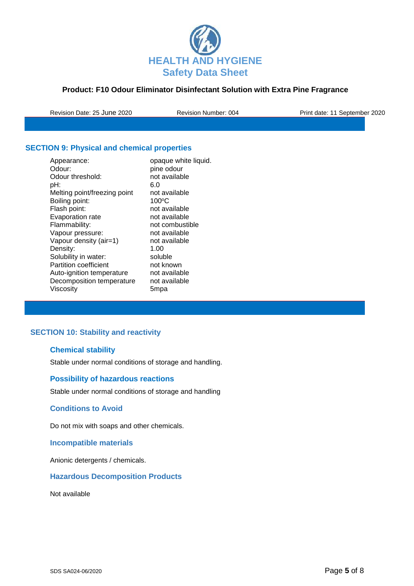

Revision Date: 25 June 2020 Revision Number: 004 Print date: 11 September 2020

# **SECTION 9: Physical and chemical properties**

| Appearance:                  | opaque white liquid. |
|------------------------------|----------------------|
| Odour:                       | pine odour           |
| Odour threshold:             | not available        |
| pH:                          | 6.0                  |
| Melting point/freezing point | not available        |
| Boiling point:               | 100°C                |
| Flash point:                 | not available        |
| Evaporation rate             | not available        |
| Flammability:                | not combustible      |
| Vapour pressure:             | not available        |
| Vapour density (air=1)       | not available        |
| Density:                     | 1.00                 |
| Solubility in water:         | soluble              |
| <b>Partition coefficient</b> | not known            |
| Auto-ignition temperature    | not available        |
| Decomposition temperature    | not available        |
| Viscosity                    | 5mpa                 |
|                              |                      |

# **SECTION 10: Stability and reactivity**

# **Chemical stability**

Stable under normal conditions of storage and handling.

## **Possibility of hazardous reactions**

Stable under normal conditions of storage and handling

## **Conditions to Avoid**

Do not mix with soaps and other chemicals.

# **Incompatible materials**

Anionic detergents / chemicals.

## **Hazardous Decomposition Products**

Not available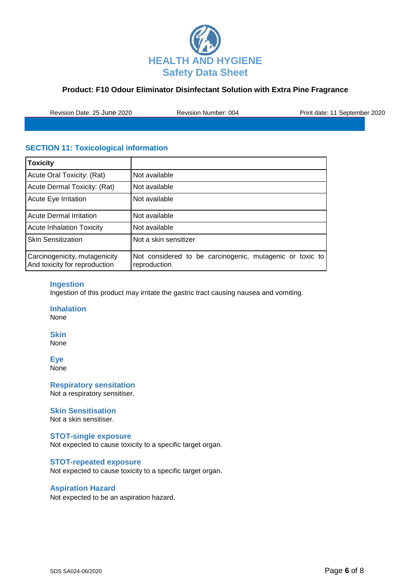

Revision Date: 25 June 2020 Revision Number: 004 Print date: 11 September 2020

# **SECTION 11: Toxicological information**

| <b>Toxicity</b>                                                |                                                                          |
|----------------------------------------------------------------|--------------------------------------------------------------------------|
| Acute Oral Toxicity: (Rat)                                     | Not available                                                            |
| Acute Dermal Toxicity: (Rat)                                   | Not available                                                            |
| Acute Eye Irritation                                           | Not available                                                            |
| <b>Acute Dermal Irritation</b>                                 | Not available                                                            |
| <b>Acute Inhalation Toxicity</b>                               | Not available                                                            |
| <b>Skin Sensitization</b>                                      | Not a skin sensitizer                                                    |
| Carcinogenicity, mutagenicity<br>And toxicity for reproduction | Not considered to be carcinogenic, mutagenic or toxic to<br>reproduction |

## **Ingestion**

Ingestion of this product may irritate the gastric tract causing nausea and vomiting.

**Inhalation** None

**Skin**

None

**Eye** None

**Respiratory sensitation** Not a respiratory sensitiser.

## **Skin Sensitisation**

Not a skin sensitiser.

# **STOT-single exposure**

Not expected to cause toxicity to a specific target organ.

#### **STOT-repeated exposure**

Not expected to cause toxicity to a specific target organ.

## **Aspiration Hazard**

Not expected to be an aspiration hazard.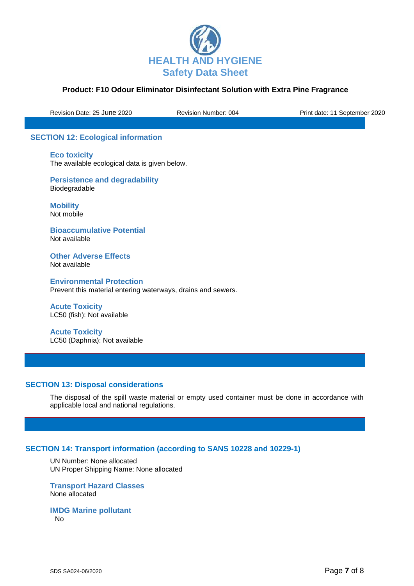

Revision Date: 25 June 2020 Revision Number: 004 Print date: 11 September 2020

# **SECTION 12: Ecological information**

**Eco toxicity** The available ecological data is given below.

**Persistence and degradability** Biodegradable

**Mobility** Not mobile

**Bioaccumulative Potential** Not available

**Other Adverse Effects** Not available

**Environmental Protection** Prevent this material entering waterways, drains and sewers.

**Acute Toxicity**  LC50 (fish): Not available

**Acute Toxicity**  LC50 (Daphnia): Not available

## **SECTION 13: Disposal considerations**

The disposal of the spill waste material or empty used container must be done in accordance with applicable local and national regulations.

# **SECTION 14: Transport information (according to SANS 10228 and 10229-1)**

UN Number: None allocated UN Proper Shipping Name: None allocated

**Transport Hazard Classes** None allocated

**IMDG Marine pollutant**

No